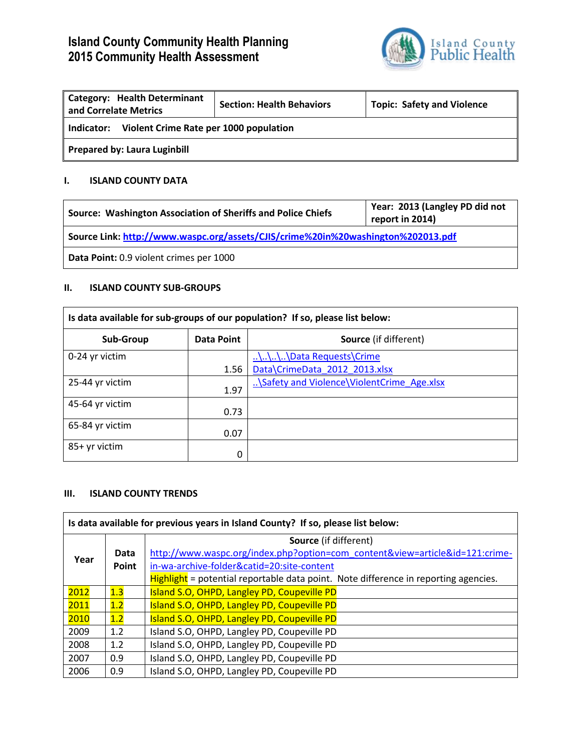# **Island County Community Health Planning 2015 Community Health Assessment**



| <b>Category: Health Determinant</b><br>and Correlate Metrics | <b>Section: Health Behaviors</b> | <b>Topic: Safety and Violence</b> |
|--------------------------------------------------------------|----------------------------------|-----------------------------------|
| Violent Crime Rate per 1000 population<br>Indicator:         |                                  |                                   |
| <b>Prepared by: Laura Luginbill</b>                          |                                  |                                   |

#### **I. ISLAND COUNTY DATA**

| Source: Washington Association of Sheriffs and Police Chiefs                     | Year: 2013 (Langley PD did not<br>report in 2014) |  |
|----------------------------------------------------------------------------------|---------------------------------------------------|--|
| Source Link: http://www.waspc.org/assets/CJIS/crime%20in%20washington%202013.pdf |                                                   |  |
| Data Point: 0.9 violent crimes per 1000                                          |                                                   |  |

#### **II. ISLAND COUNTY SUB-GROUPS**

| Is data available for sub-groups of our population? If so, please list below: |            |                                            |
|-------------------------------------------------------------------------------|------------|--------------------------------------------|
| Sub-Group                                                                     | Data Point | <b>Source</b> (if different)               |
| 0-24 yr victim                                                                |            |                                            |
|                                                                               | 1.56       | Data\CrimeData 2012 2013.xlsx              |
| 25-44 yr victim                                                               | 1.97       | \Safety and Violence\ViolentCrime Age.xlsx |
| 45-64 yr victim                                                               | 0.73       |                                            |
| 65-84 yr victim                                                               | 0.07       |                                            |
| 85+ yr victim                                                                 | 0          |                                            |

#### **III. ISLAND COUNTY TRENDS**

| Is data available for previous years in Island County? If so, please list below: |     |                                                                                     |  |
|----------------------------------------------------------------------------------|-----|-------------------------------------------------------------------------------------|--|
| Data<br>Year<br><b>Point</b>                                                     |     | <b>Source</b> (if different)                                                        |  |
|                                                                                  |     | http://www.waspc.org/index.php?option=com_content&view=article&id=121:crime-        |  |
|                                                                                  |     | in-wa-archive-folder&catid=20:site-content                                          |  |
|                                                                                  |     | Highlight = potential reportable data point. Note difference in reporting agencies. |  |
| 2012                                                                             | 1.3 | Island S.O, OHPD, Langley PD, Coupeville PD                                         |  |
| 2011                                                                             | 1.2 | Island S.O, OHPD, Langley PD, Coupeville PD                                         |  |
| 2010                                                                             | 1.2 | Island S.O, OHPD, Langley PD, Coupeville PD                                         |  |
| 2009                                                                             | 1.2 | Island S.O, OHPD, Langley PD, Coupeville PD                                         |  |
| 2008                                                                             | 1.2 | Island S.O, OHPD, Langley PD, Coupeville PD                                         |  |
| 2007                                                                             | 0.9 | Island S.O, OHPD, Langley PD, Coupeville PD                                         |  |
| 2006                                                                             | 0.9 | Island S.O, OHPD, Langley PD, Coupeville PD                                         |  |